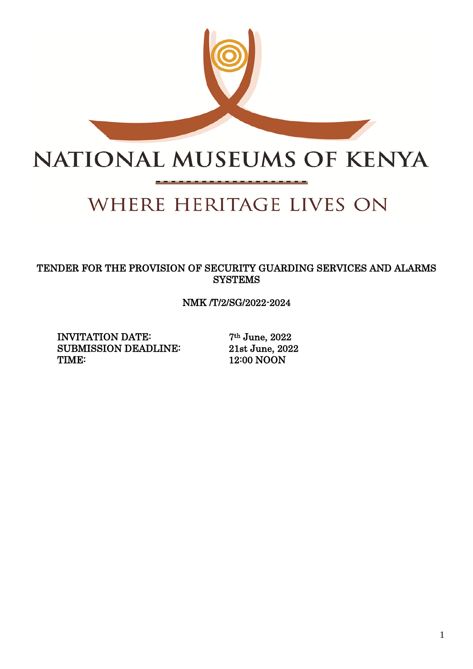

# NATIONAL MUSEUMS OF KENYA

# WHERE HERITAGE LIVES ON

TENDER FOR THE PROVISION OF SECURITY GUARDING SERVICES AND ALARMS **SYSTEMS** 

NMK /T/2/SG/2022-2024

INVITATION DATE: 7<sup>th</sup> June, 2022 SUBMISSION DEADLINE: 21st June, 2022 TIME: 12:00 NOON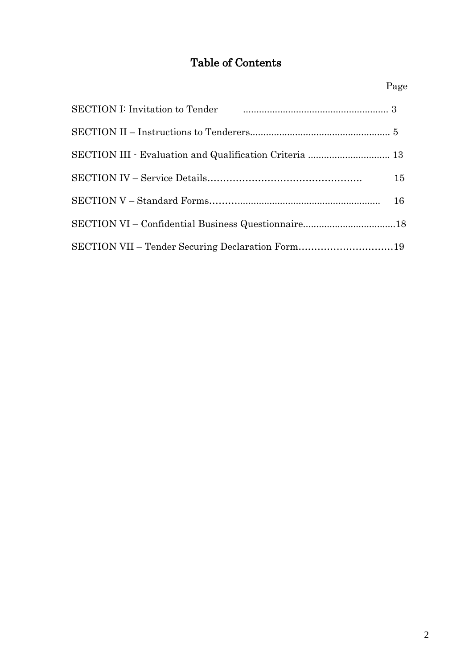# Table of Contents

| SECTION I: Invitation to Tender <b>Construction</b> 3   |    |
|---------------------------------------------------------|----|
|                                                         |    |
| SECTION III · Evaluation and Qualification Criteria  13 |    |
|                                                         | 15 |
|                                                         |    |
| SECTION VI - Confidential Business Questionnaire18      |    |
| SECTION VII - Tender Securing Declaration Form19        |    |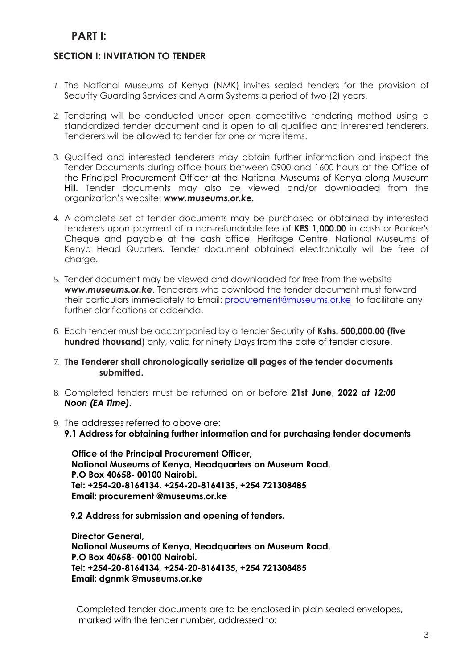# **PART I:**

# **SECTION I: INVITATION TO TENDER**

- *1.* The National Museums of Kenya (NMK) invites sealed tenders for the provision of Security Guarding Services and Alarm Systems a period of two (2) years.
- 2. Tendering will be conducted under open competitive tendering method using a standardized tender document and is open to all qualified and interested tenderers. Tenderers will be allowed to tender for one or more items.
- 3. Qualified and interested tenderers may obtain further information and inspect the Tender Documents during office hours between 0900 and 1600 hours at the Office of the Principal Procurement Officer at the National Museums of Kenya along Museum Hill. Tender documents may also be viewed and/or downloaded from the organization's website: *www.museums.or.ke.*
- 4. A complete set of tender documents may be purchased or obtained by interested tenderers upon payment of a non-refundable fee of **KES 1,000.00** in cash or Banker's Cheque and payable at the cash office, Heritage Centre, National Museums of Kenya Head Quarters. Tender document obtained electronically will be free of charge.
- 5. Tender document may be viewed and downloaded for free from the website *www.museums.or.ke*. Tenderers who download the tender document must forward their particulars immediately to Email: [procurement@museums.or.ke](mailto:procurement@museums.or.ke) to facilitate any further clarifications or addenda.
- 6. Each tender must be accompanied by a tender Security of **Kshs. 500,000.00 (five hundred thousand**) only, valid for ninety Days from the date of tender closure.
- 7. **The Tenderer shall chronologically serialize all pages of the tender documents submitted.**
- 8. Completed tenders must be returned on or before **21st June, 2022** *at 12:00 Noon (EA Time).*
- 9. The addresses referred to above are:
	- **9.1 Address for obtaining further information and for purchasing tender documents**

**Office of the Principal Procurement Officer, National Museums of Kenya, Headquarters on Museum Road, P.O Box 40658- 00100 Nairobi. Tel: +254-20-8164134, +254-20-8164135, +254 721308485 Email: procurement @museums.or.ke**

**9.2 Address for submission and opening of tenders.**

**Director General, National Museums of Kenya, Headquarters on Museum Road, P.O Box 40658- 00100 Nairobi. Tel: +254-20-8164134, +254-20-8164135, +254 721308485 Email: dgnmk @museums.or.ke**

Completed tender documents are to be enclosed in plain sealed envelopes, marked with the tender number, addressed to: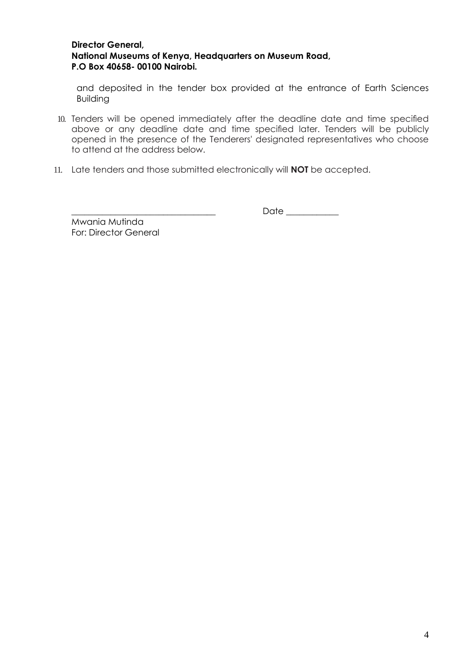#### **Director General, National Museums of Kenya, Headquarters on Museum Road, P.O Box 40658- 00100 Nairobi.**

and deposited in the tender box provided at the entrance of Earth Sciences Building

- 10. Tenders will be opened immediately after the deadline date and time specified above or any deadline date and time specified later. Tenders will be publicly opened in the presence of the Tenderers' designated representatives who choose to attend at the address below.
- 11. Late tenders and those submitted electronically will **NOT** be accepted.

Mwania Mutinda For: Director General **\_\_\_\_\_\_\_\_\_\_\_\_\_\_\_\_\_\_\_\_\_\_\_\_\_\_\_\_\_\_\_\_\_** Date \_\_\_\_\_\_\_\_\_\_\_\_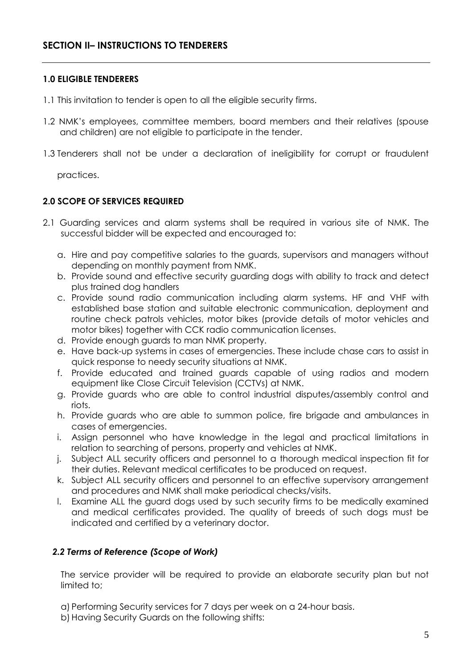#### **1.0 ELIGIBLE TENDERERS**

- 1.1 This invitation to tender is open to all the eligible security firms.
- 1.2 NMK's employees, committee members, board members and their relatives (spouse and children) are not eligible to participate in the tender.
- 1.3 Tenderers shall not be under a declaration of ineligibility for corrupt or fraudulent

practices.

#### **2.0 SCOPE OF SERVICES REQUIRED**

- 2.1 Guarding services and alarm systems shall be required in various site of NMK. The successful bidder will be expected and encouraged to:
	- a. Hire and pay competitive salaries to the guards, supervisors and managers without depending on monthly payment from NMK.
	- b. Provide sound and effective security guarding dogs with ability to track and detect plus trained dog handlers
	- c. Provide sound radio communication including alarm systems. HF and VHF with established base station and suitable electronic communication, deployment and routine check patrols vehicles, motor bikes (provide details of motor vehicles and motor bikes) together with CCK radio communication licenses.
	- d. Provide enough guards to man NMK property.
	- e. Have back-up systems in cases of emergencies. These include chase cars to assist in quick response to needy security situations at NMK.
	- f. Provide educated and trained guards capable of using radios and modern equipment like Close Circuit Television (CCTVs) at NMK.
	- g. Provide guards who are able to control industrial disputes/assembly control and riots.
	- h. Provide guards who are able to summon police, fire brigade and ambulances in cases of emergencies.
	- i. Assign personnel who have knowledge in the legal and practical limitations in relation to searching of persons, property and vehicles at NMK.
	- j. Subject ALL security officers and personnel to a thorough medical inspection fit for their duties. Relevant medical certificates to be produced on request.
	- k. Subject ALL security officers and personnel to an effective supervisory arrangement and procedures and NMK shall make periodical checks/visits.
	- l. Examine ALL the guard dogs used by such security firms to be medically examined and medical certificates provided. The quality of breeds of such dogs must be indicated and certified by a veterinary doctor.

#### *2.2 Terms of Reference (Scope of Work)*

The service provider will be required to provide an elaborate security plan but not limited to;

- a) Performing Security services for 7 days per week on a 24-hour basis.
- b) Having Security Guards on the following shifts: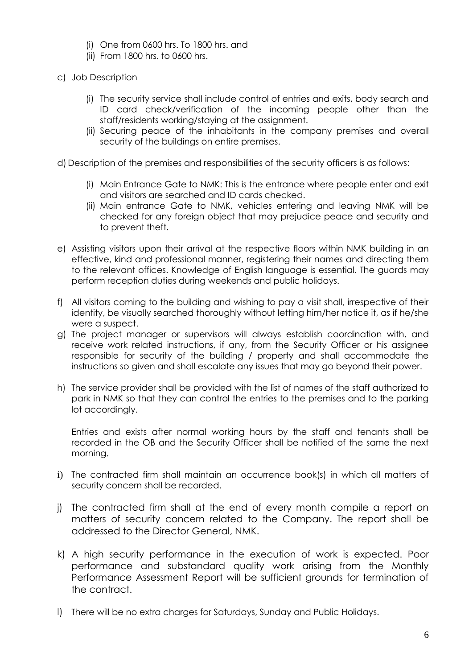- (i) One from 0600 hrs. To 1800 hrs. and
- (ii) From 1800 hrs. to 0600 hrs.
- c) Job Description
	- (i) The security service shall include control of entries and exits, body search and ID card check/verification of the incoming people other than the staff/residents working/staying at the assignment.
	- (ii) Securing peace of the inhabitants in the company premises and overall security of the buildings on entire premises.

d) Description of the premises and responsibilities of the security officers is as follows:

- (i) Main Entrance Gate to NMK: This is the entrance where people enter and exit and visitors are searched and ID cards checked.
- (ii) Main entrance Gate to NMK, vehicles entering and leaving NMK will be checked for any foreign object that may prejudice peace and security and to prevent theft.
- e) Assisting visitors upon their arrival at the respective floors within NMK building in an effective, kind and professional manner, registering their names and directing them to the relevant offices. Knowledge of English language is essential. The guards may perform reception duties during weekends and public holidays.
- f) All visitors coming to the building and wishing to pay a visit shall, irrespective of their identity, be visually searched thoroughly without letting him/her notice it, as if he/she were a suspect.
- g) The project manager or supervisors will always establish coordination with, and receive work related instructions, if any, from the Security Officer or his assignee responsible for security of the building / property and shall accommodate the instructions so given and shall escalate any issues that may go beyond their power.
- h) The service provider shall be provided with the list of names of the staff authorized to park in NMK so that they can control the entries to the premises and to the parking lot accordingly.

Entries and exists after normal working hours by the staff and tenants shall be recorded in the OB and the Security Officer shall be notified of the same the next morning.

- i) The contracted firm shall maintain an occurrence book(s) in which all matters of security concern shall be recorded.
- j) The contracted firm shall at the end of every month compile a report on matters of security concern related to the Company. The report shall be addressed to the Director General, NMK.
- k) A high security performance in the execution of work is expected. Poor performance and substandard quality work arising from the Monthly Performance Assessment Report will be sufficient grounds for termination of the contract.
- l) There will be no extra charges for Saturdays, Sunday and Public Holidays.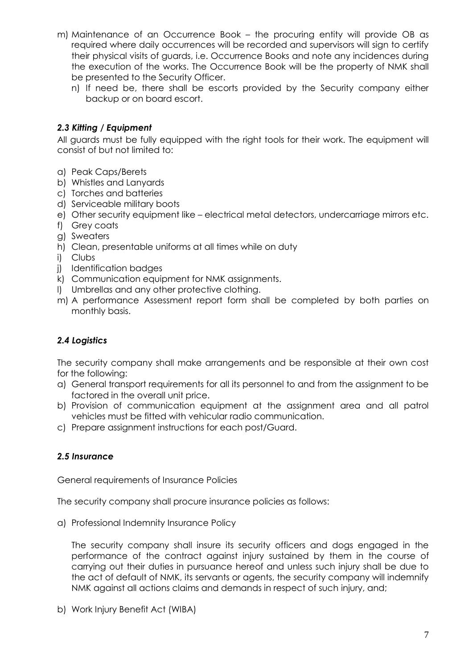- m) Maintenance of an Occurrence Book the procuring entity will provide OB as required where daily occurrences will be recorded and supervisors will sign to certify their physical visits of guards, i.e. Occurrence Books and note any incidences during the execution of the works. The Occurrence Book will be the property of NMK shall be presented to the Security Officer.
	- n) If need be, there shall be escorts provided by the Security company either backup or on board escort.

## *2.3 Kitting / Equipment*

All guards must be fully equipped with the right tools for their work. The equipment will consist of but not limited to:

- a) Peak Caps/Berets
- b) Whistles and Lanyards
- c) Torches and batteries
- d) Serviceable military boots
- e) Other security equipment like electrical metal detectors, undercarriage mirrors etc.
- f) Grey coats
- g) Sweaters
- h) Clean, presentable uniforms at all times while on duty
- i) Clubs
- j) Identification badges
- k) Communication equipment for NMK assignments.
- l) Umbrellas and any other protective clothing.
- m) A performance Assessment report form shall be completed by both parties on monthly basis.

# *2.4 Logistics*

The security company shall make arrangements and be responsible at their own cost for the following:

- a) General transport requirements for all its personnel to and from the assignment to be factored in the overall unit price.
- b) Provision of communication equipment at the assignment area and all patrol vehicles must be fitted with vehicular radio communication.
- c) Prepare assignment instructions for each post/Guard.

#### *2.5 Insurance*

General requirements of Insurance Policies

The security company shall procure insurance policies as follows:

a) Professional Indemnity Insurance Policy

The security company shall insure its security officers and dogs engaged in the performance of the contract against injury sustained by them in the course of carrying out their duties in pursuance hereof and unless such injury shall be due to the act of default of NMK, its servants or agents, the security company will indemnify NMK against all actions claims and demands in respect of such injury, and;

b) Work Injury Benefit Act (WIBA)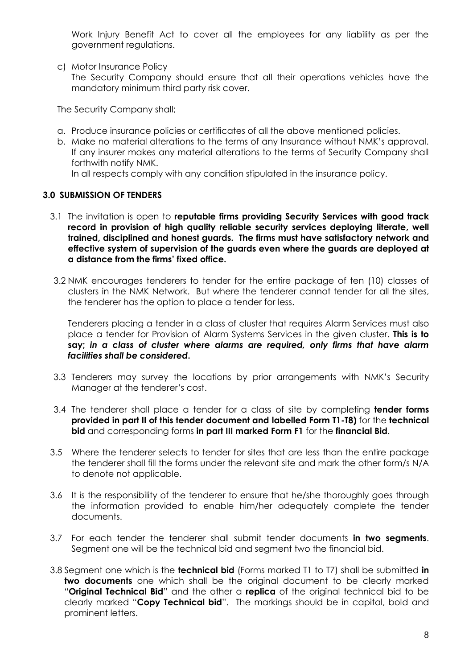Work Injury Benefit Act to cover all the employees for any liability as per the government regulations.

c) Motor Insurance Policy

The Security Company should ensure that all their operations vehicles have the mandatory minimum third party risk cover.

The Security Company shall;

- a. Produce insurance policies or certificates of all the above mentioned policies.
- b. Make no material alterations to the terms of any Insurance without NMK's approval. If any insurer makes any material alterations to the terms of Security Company shall forthwith notify NMK.

In all respects comply with any condition stipulated in the insurance policy.

#### **3.0 SUBMISSION OF TENDERS**

- 3.1 The invitation is open to **reputable firms providing Security Services with good track record in provision of high quality reliable security services deploying literate, well trained, disciplined and honest guards. The firms must have satisfactory network and effective system of supervision of the guards even where the guards are deployed at a distance from the firms' fixed office.**
- 3.2 NMK encourages tenderers to tender for the entire package of ten (10) classes of clusters in the NMK Network. But where the tenderer cannot tender for all the sites, the tenderer has the option to place a tender for less.

Tenderers placing a tender in a class of cluster that requires Alarm Services must also place a tender for Provision of Alarm Systems Services in the given cluster. **This is to say;** *in a class of cluster where alarms are required, only firms that have alarm facilities shall be considered***.**

- 3.3 Tenderers may survey the locations by prior arrangements with NMK's Security Manager at the tenderer's cost.
- 3.4 The tenderer shall place a tender for a class of site by completing **tender forms provided in part II of this tender document and labelled Form T1-T8)** for the **technical bid** and corresponding forms **in part III marked Form F1** for the **financial Bid**.
- 3.5 Where the tenderer selects to tender for sites that are less than the entire package the tenderer shall fill the forms under the relevant site and mark the other form/s N/A to denote not applicable.
- 3.6 It is the responsibility of the tenderer to ensure that he/she thoroughly goes through the information provided to enable him/her adequately complete the tender documents.
- 3.7 For each tender the tenderer shall submit tender documents **in two segments**. Segment one will be the technical bid and segment two the financial bid.
- 3.8 Segment one which is the **technical bid** (Forms marked T1 to T7) shall be submitted **in two documents** one which shall be the original document to be clearly marked "**Original Technical Bid**" and the other a **replica** of the original technical bid to be clearly marked "**Copy Technical bid**". The markings should be in capital, bold and prominent letters.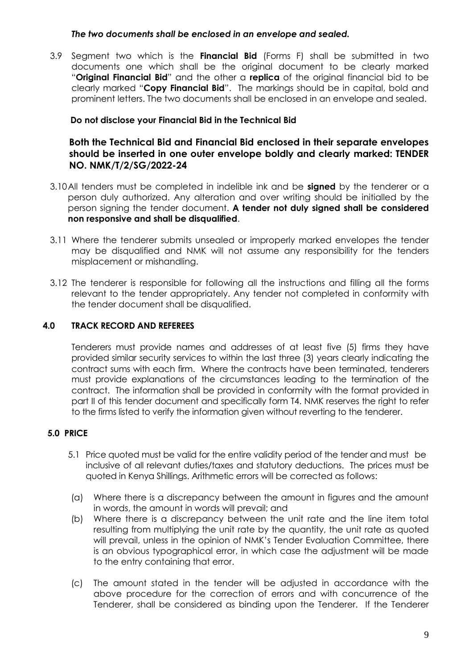#### *The two documents shall be enclosed in an envelope and sealed.*

3.9 Segment two which is the **Financial Bid** (Forms F) shall be submitted in two documents one which shall be the original document to be clearly marked "**Original Financial Bid**" and the other a **replica** of the original financial bid to be clearly marked "**Copy Financial Bid**". The markings should be in capital, bold and prominent letters. The two documents shall be enclosed in an envelope and sealed.

#### **Do not disclose your Financial Bid in the Technical Bid**

## **Both the Technical Bid and Financial Bid enclosed in their separate envelopes should be inserted in one outer envelope boldly and clearly marked: TENDER NO. NMK/T/2/SG/2022-24**

- 3.10All tenders must be completed in indelible ink and be **signed** by the tenderer or a person duly authorized. Any alteration and over writing should be initialled by the person signing the tender document. **A tender not duly signed shall be considered non responsive and shall be disqualified**.
- 3.11 Where the tenderer submits unsealed or improperly marked envelopes the tender may be disqualified and NMK will not assume any responsibility for the tenders misplacement or mishandling.
- 3.12 The tenderer is responsible for following all the instructions and filling all the forms relevant to the tender appropriately. Any tender not completed in conformity with the tender document shall be disqualified.

#### **4.0 TRACK RECORD AND REFEREES**

Tenderers must provide names and addresses of at least five (5) firms they have provided similar security services to within the last three (3) years clearly indicating the contract sums with each firm. Where the contracts have been terminated, tenderers must provide explanations of the circumstances leading to the termination of the contract. The information shall be provided in conformity with the format provided in part II of this tender document and specifically form T4. NMK reserves the right to refer to the firms listed to verify the information given without reverting to the tenderer.

# **5.0 PRICE**

- 5.1 Price quoted must be valid for the entire validity period of the tender and must be inclusive of all relevant duties/taxes and statutory deductions. The prices must be quoted in Kenya Shillings. Arithmetic errors will be corrected as follows:
- (a) Where there is a discrepancy between the amount in figures and the amount in words, the amount in words will prevail; and
- (b) Where there is a discrepancy between the unit rate and the line item total resulting from multiplying the unit rate by the quantity, the unit rate as quoted will prevail, unless in the opinion of NMK's Tender Evaluation Committee, there is an obvious typographical error, in which case the adjustment will be made to the entry containing that error.
- (c) The amount stated in the tender will be adjusted in accordance with the above procedure for the correction of errors and with concurrence of the Tenderer, shall be considered as binding upon the Tenderer. If the Tenderer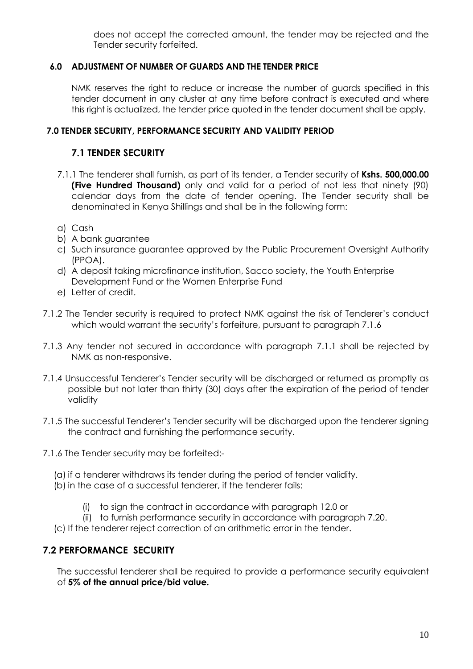does not accept the corrected amount, the tender may be rejected and the Tender security forfeited.

## **6.0 ADJUSTMENT OF NUMBER OF GUARDS AND THE TENDER PRICE**

NMK reserves the right to reduce or increase the number of guards specified in this tender document in any cluster at any time before contract is executed and where this right is actualized, the tender price quoted in the tender document shall be apply.

## **7.0 TENDER SECURITY, PERFORMANCE SECURITY AND VALIDITY PERIOD**

## **7.1 TENDER SECURITY**

- 7.1.1 The tenderer shall furnish, as part of its tender, a Tender security of **Kshs. 500,000.00 (Five Hundred Thousand)** only and valid for a period of not less that ninety (90) calendar days from the date of tender opening. The Tender security shall be denominated in Kenya Shillings and shall be in the following form:
- a) Cash
- b) A bank guarantee
- c) Such insurance guarantee approved by the Public Procurement Oversight Authority (PPOA).
- d) A deposit taking microfinance institution, Sacco society, the Youth Enterprise Development Fund or the Women Enterprise Fund
- e) Letter of credit.
- 7.1.2 The Tender security is required to protect NMK against the risk of Tenderer's conduct which would warrant the security's forfeiture, pursuant to paragraph 7.1.6
- 7.1.3 Any tender not secured in accordance with paragraph 7.1.1 shall be rejected by NMK as non-responsive.
- 7.1.4 Unsuccessful Tenderer's Tender security will be discharged or returned as promptly as possible but not later than thirty (30) days after the expiration of the period of tender validity
- 7.1.5 The successful Tenderer's Tender security will be discharged upon the tenderer signing the contract and furnishing the performance security.
- 7.1.6 The Tender security may be forfeited:-
	- (a) if a tenderer withdraws its tender during the period of tender validity.
	- (b) in the case of a successful tenderer, if the tenderer fails:
		- (i) to sign the contract in accordance with paragraph 12.0 or
		- (ii) to furnish performance security in accordance with paragraph 7.20.
	- (c) If the tenderer reject correction of an arithmetic error in the tender.

# **7.2 PERFORMANCE SECURITY**

The successful tenderer shall be required to provide a performance security equivalent of **5% of the annual price/bid value.**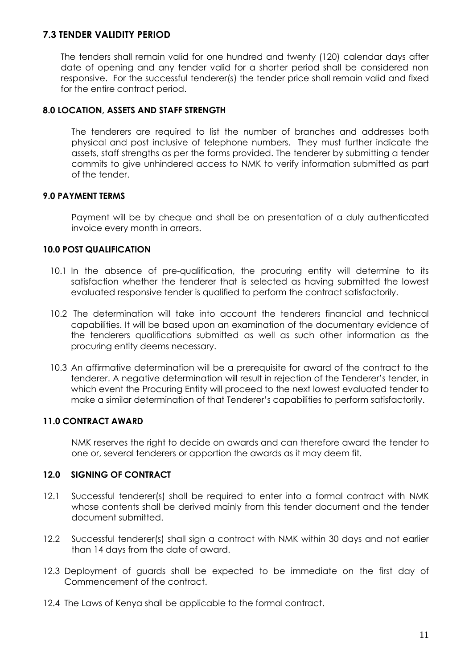# **7.3 TENDER VALIDITY PERIOD**

The tenders shall remain valid for one hundred and twenty (120) calendar days after date of opening and any tender valid for a shorter period shall be considered non responsive. For the successful tenderer(s) the tender price shall remain valid and fixed for the entire contract period.

#### **8.0 LOCATION, ASSETS AND STAFF STRENGTH**

The tenderers are required to list the number of branches and addresses both physical and post inclusive of telephone numbers. They must further indicate the assets, staff strengths as per the forms provided. The tenderer by submitting a tender commits to give unhindered access to NMK to verify information submitted as part of the tender.

#### **9.0 PAYMENT TERMS**

Payment will be by cheque and shall be on presentation of a duly authenticated invoice every month in arrears.

## **10.0 POST QUALIFICATION**

- 10.1 In the absence of pre-qualification, the procuring entity will determine to its satisfaction whether the tenderer that is selected as having submitted the lowest evaluated responsive tender is qualified to perform the contract satisfactorily.
- 10.2 The determination will take into account the tenderers financial and technical capabilities. It will be based upon an examination of the documentary evidence of the tenderers qualifications submitted as well as such other information as the procuring entity deems necessary.
- 10.3 An affirmative determination will be a prerequisite for award of the contract to the tenderer. A negative determination will result in rejection of the Tenderer's tender, in which event the Procuring Entity will proceed to the next lowest evaluated tender to make a similar determination of that Tenderer's capabilities to perform satisfactorily.

#### **11.0 CONTRACT AWARD**

NMK reserves the right to decide on awards and can therefore award the tender to one or, several tenderers or apportion the awards as it may deem fit.

#### **12.0 SIGNING OF CONTRACT**

- 12.1 Successful tenderer(s) shall be required to enter into a formal contract with NMK whose contents shall be derived mainly from this tender document and the tender document submitted.
- 12.2 Successful tenderer(s) shall sign a contract with NMK within 30 days and not earlier than 14 days from the date of award.
- 12.3 Deployment of guards shall be expected to be immediate on the first day of Commencement of the contract.
- 12.4 The Laws of Kenya shall be applicable to the formal contract.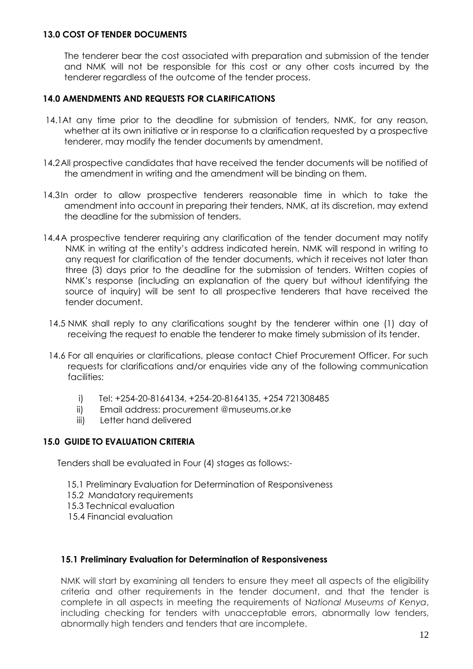#### **13.0 COST OF TENDER DOCUMENTS**

The tenderer bear the cost associated with preparation and submission of the tender and NMK will not be responsible for this cost or any other costs incurred by the tenderer regardless of the outcome of the tender process.

#### **14.0 AMENDMENTS AND REQUESTS FOR CLARIFICATIONS**

- 14.1At any time prior to the deadline for submission of tenders, NMK, for any reason, whether at its own initiative or in response to a clarification requested by a prospective tenderer, may modify the tender documents by amendment.
- 14.2All prospective candidates that have received the tender documents will be notified of the amendment in writing and the amendment will be binding on them.
- 14.3In order to allow prospective tenderers reasonable time in which to take the amendment into account in preparing their tenders, NMK, at its discretion, may extend the deadline for the submission of tenders.
- 14.4A prospective tenderer requiring any clarification of the tender document may notify NMK in writing at the entity's address indicated herein. NMK will respond in writing to any request for clarification of the tender documents, which it receives not later than three (3) days prior to the deadline for the submission of tenders. Written copies of NMK's response (including an explanation of the query but without identifying the source of inquiry) will be sent to all prospective tenderers that have received the tender document.
	- 14.5 NMK shall reply to any clarifications sought by the tenderer within one (1) day of receiving the request to enable the tenderer to make timely submission of its tender.
	- 14.6 For all enquiries or clarifications, please contact Chief Procurement Officer. For such requests for clarifications and/or enquiries vide any of the following communication facilities:
		- i) Tel: +254-20-8164134, +254-20-8164135, +254 721308485
		- ii) Email address: procurement @museums.or.ke
		- iii) Letter hand delivered

#### **15.0 GUIDE TO EVALUATION CRITERIA**

Tenders shall be evaluated in Four (4) stages as follows:-

- 15.1 Preliminary Evaluation for Determination of Responsiveness
- 15.2 Mandatory requirements
- 15.3 Technical evaluation
- 15.4 Financial evaluation

#### **15.1 Preliminary Evaluation for Determination of Responsiveness**

NMK will start by examining all tenders to ensure they meet all aspects of the eligibility criteria and other requirements in the tender document, and that the tender is complete in all aspects in meeting the requirements of N*ational Museums of Kenya*, including checking for tenders with unacceptable errors, abnormally low tenders, abnormally high tenders and tenders that are incomplete.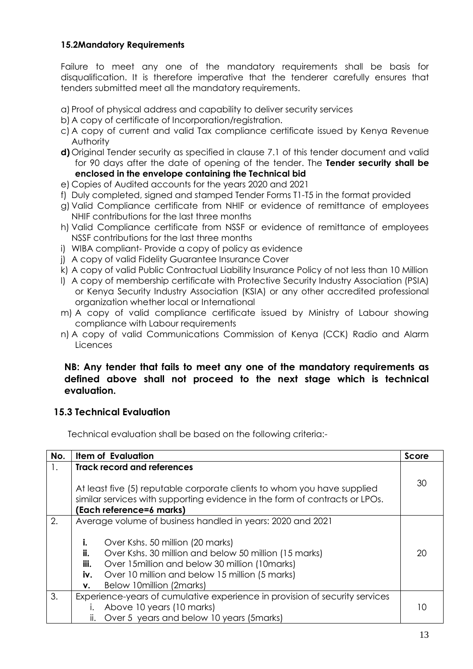## **15.2Mandatory Requirements**

Failure to meet any one of the mandatory requirements shall be basis for disqualification. It is therefore imperative that the tenderer carefully ensures that tenders submitted meet all the mandatory requirements.

a) Proof of physical address and capability to deliver security services

- b) A copy of certificate of Incorporation/registration.
- c) A copy of current and valid Tax compliance certificate issued by Kenya Revenue Authority
- **d)** Original Tender security as specified in clause 7.1 of this tender document and valid for 90 days after the date of opening of the tender. The **Tender security shall be enclosed in the envelope containing the Technical bid**
- e) Copies of Audited accounts for the years 2020 and 2021
- f) Duly completed, signed and stamped Tender Forms T1-T5 in the format provided
- g) Valid Compliance certificate from NHIF or evidence of remittance of employees NHIF contributions for the last three months
- h) Valid Compliance certificate from NSSF or evidence of remittance of employees NSSF contributions for the last three months
- i) WIBA compliant- Provide a copy of policy as evidence
- j) A copy of valid Fidelity Guarantee Insurance Cover
- k) A copy of valid Public Contractual Liability Insurance Policy of not less than 10 Million
- l) A copy of membership certificate with Protective Security Industry Association (PSIA) or Kenya Security Industry Association (KSIA) or any other accredited professional organization whether local or International
- m) A copy of valid compliance certificate issued by Ministry of Labour showing compliance with Labour requirements
- n) A copy of valid Communications Commission of Kenya (CCK) Radio and Alarm Licences

## **NB: Any tender that fails to meet any one of the mandatory requirements as defined above shall not proceed to the next stage which is technical evaluation.**

# **15.3 Technical Evaluation**

Technical evaluation shall be based on the following criteria:-

| No. |                                                                                                                                                                                    | <b>Item of Evaluation</b>                             | Score |  |
|-----|------------------------------------------------------------------------------------------------------------------------------------------------------------------------------------|-------------------------------------------------------|-------|--|
| 1.  |                                                                                                                                                                                    | <b>Track record and references</b>                    |       |  |
|     | At least five (5) reputable corporate clients to whom you have supplied<br>similar services with supporting evidence in the form of contracts or LPOs.<br>(Each reference=6 marks) |                                                       |       |  |
| 2.  | Average volume of business handled in years: 2020 and 2021                                                                                                                         |                                                       |       |  |
|     | i.                                                                                                                                                                                 | Over Kshs. 50 million (20 marks)                      |       |  |
|     | ii.                                                                                                                                                                                | Over Kshs. 30 million and below 50 million (15 marks) | 20    |  |
|     | iii.                                                                                                                                                                               | Over 15 million and below 30 million (10 marks)       |       |  |
|     | iv.                                                                                                                                                                                | Over 10 million and below 15 million (5 marks)        |       |  |
|     | ν.                                                                                                                                                                                 | Below 10 million (2 marks)                            |       |  |
| 3.  | Experience-years of cumulative experience in provision of security services                                                                                                        |                                                       |       |  |
|     |                                                                                                                                                                                    | Above 10 years (10 marks)                             |       |  |
|     | ii.                                                                                                                                                                                | Over 5 years and below 10 years (5marks)              |       |  |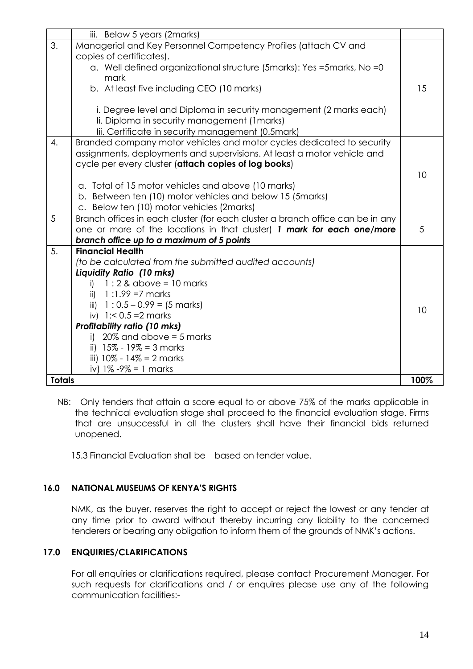|                  | iii. Below 5 years (2marks)                                                    |      |
|------------------|--------------------------------------------------------------------------------|------|
| 3.               | Managerial and Key Personnel Competency Profiles (attach CV and                |      |
|                  | copies of certificates).                                                       |      |
|                  | a. Well defined organizational structure (5marks): Yes =5marks, No =0          |      |
|                  | mark                                                                           |      |
|                  | b. At least five including CEO (10 marks)                                      | 15   |
|                  | i. Degree level and Diploma in security management (2 marks each)              |      |
|                  | li. Diploma in security management (1 marks)                                   |      |
|                  | lii. Certificate in security management (0.5mark)                              |      |
| $\overline{4}$ . | Branded company motor vehicles and motor cycles dedicated to security          |      |
|                  | assignments, deployments and supervisions. At least a motor vehicle and        |      |
|                  | cycle per every cluster (attach copies of log books)                           |      |
|                  |                                                                                | 10   |
|                  | a. Total of 15 motor vehicles and above (10 marks)                             |      |
|                  | b. Between ten (10) motor vehicles and below 15 (5marks)                       |      |
|                  | c. Below ten (10) motor vehicles (2marks)                                      |      |
| 5                | Branch offices in each cluster (for each cluster a branch office can be in any |      |
|                  | one or more of the locations in that cluster) 1 mark for each one/more         | 5    |
|                  | branch office up to a maximum of 5 points                                      |      |
| 5.               | <b>Financial Health</b>                                                        |      |
|                  | (to be calculated from the submitted audited accounts)                         |      |
|                  | Liquidity Ratio (10 mks)                                                       |      |
|                  | $1:2$ & above = 10 marks<br>i)                                                 |      |
|                  | $1:1.99 = 7$ marks<br>ii)                                                      |      |
|                  | iii) $1:0.5 - 0.99 = (5 marks)$                                                | 10   |
|                  | iv) $1: < 0.5 = 2$ marks                                                       |      |
|                  | <b>Profitability ratio (10 mks)</b>                                            |      |
|                  | $20\%$ and above = 5 marks<br>i)                                               |      |
|                  | ii) $15\% - 19\% = 3$ marks                                                    |      |
|                  | iii) $10\% - 14\% = 2$ marks                                                   |      |
|                  | iv) $1\% -9\% = 1$ marks                                                       |      |
| <b>Totals</b>    |                                                                                | 100% |

NB: Only tenders that attain a score equal to or above 75% of the marks applicable in the technical evaluation stage shall proceed to the financial evaluation stage. Firms that are unsuccessful in all the clusters shall have their financial bids returned unopened.

15.3 Financial Evaluation shall be based on tender value.

#### **16.0 NATIONAL MUSEUMS OF KENYA'S RIGHTS**

NMK, as the buyer, reserves the right to accept or reject the lowest or any tender at any time prior to award without thereby incurring any liability to the concerned tenderers or bearing any obligation to inform them of the grounds of NMK's actions.

## **17.0 ENQUIRIES/CLARIFICATIONS**

For all enquiries or clarifications required, please contact Procurement Manager. For such requests for clarifications and / or enquires please use any of the following communication facilities:-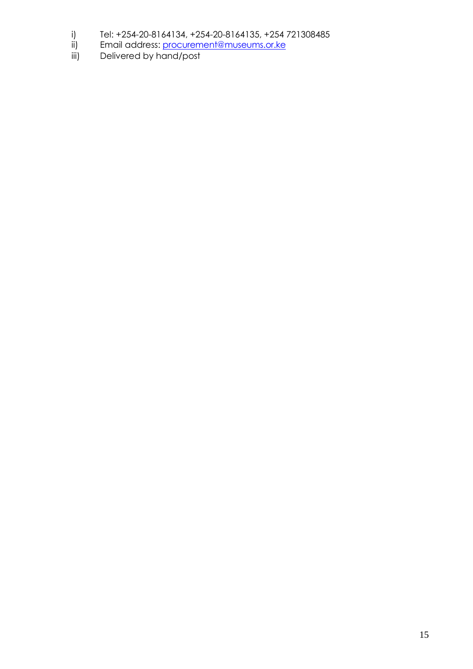- i) Tel: +254-20-8164134, +254-20-8164135, +254 721308485
- ii) Email address: <u>procurement@museums.or.ke</u>
- iii) Delivered by hand/post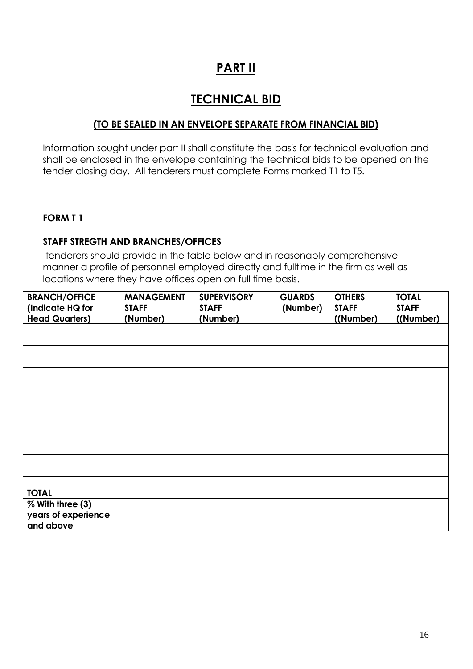# **PART II**

# **TECHNICAL BID**

# **(TO BE SEALED IN AN ENVELOPE SEPARATE FROM FINANCIAL BID)**

Information sought under part II shall constitute the basis for technical evaluation and shall be enclosed in the envelope containing the technical bids to be opened on the tender closing day. All tenderers must complete Forms marked T1 to T5.

## **FORM T 1**

#### **STAFF STREGTH AND BRANCHES/OFFICES**

tenderers should provide in the table below and in reasonably comprehensive manner a profile of personnel employed directly and fulltime in the firm as well as locations where they have offices open on full time basis.

| <b>BRANCH/OFFICE</b>                                 | <b>MANAGEMENT</b> | <b>SUPERVISORY</b> | <b>GUARDS</b> | <b>OTHERS</b> | <b>TOTAL</b> |
|------------------------------------------------------|-------------------|--------------------|---------------|---------------|--------------|
| (Indicate HQ for                                     | <b>STAFF</b>      | <b>STAFF</b>       | (Number)      | <b>STAFF</b>  | <b>STAFF</b> |
| <b>Head Quarters)</b>                                | (Number)          | (Number)           |               | ((Number)     | ((Number)    |
|                                                      |                   |                    |               |               |              |
|                                                      |                   |                    |               |               |              |
|                                                      |                   |                    |               |               |              |
|                                                      |                   |                    |               |               |              |
|                                                      |                   |                    |               |               |              |
|                                                      |                   |                    |               |               |              |
|                                                      |                   |                    |               |               |              |
| <b>TOTAL</b>                                         |                   |                    |               |               |              |
| % With three (3)<br>years of experience<br>and above |                   |                    |               |               |              |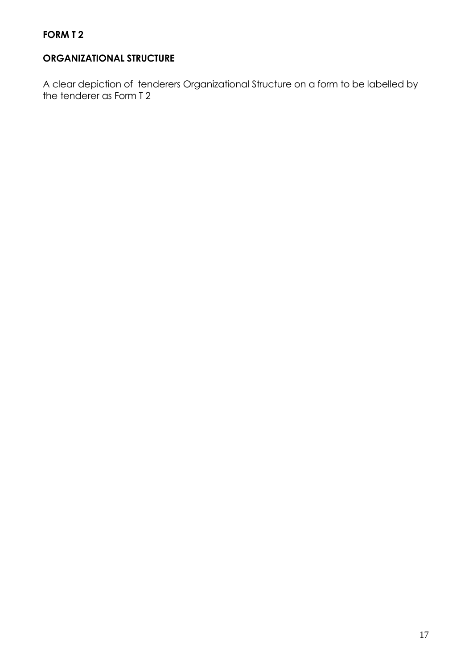# **ORGANIZATIONAL STRUCTURE**

A clear depiction of tenderers Organizational Structure on a form to be labelled by the tenderer as Form T 2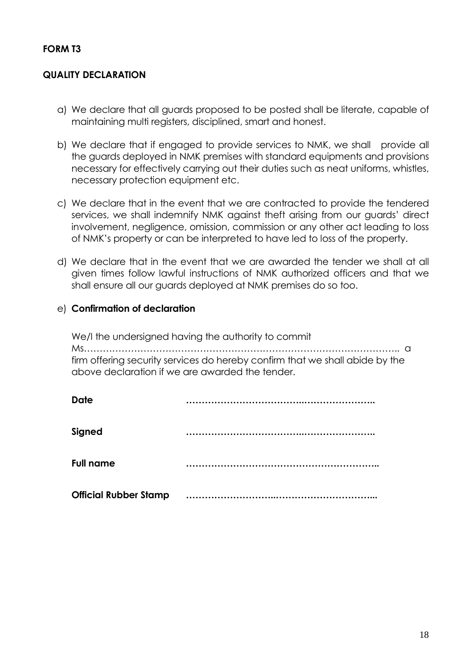## **FORM T3**

# **QUALITY DECLARATION**

- a) We declare that all guards proposed to be posted shall be literate, capable of maintaining multi registers, disciplined, smart and honest.
- b) We declare that if engaged to provide services to NMK, we shall provide all the guards deployed in NMK premises with standard equipments and provisions necessary for effectively carrying out their duties such as neat uniforms, whistles, necessary protection equipment etc.
- c) We declare that in the event that we are contracted to provide the tendered services, we shall indemnify NMK against theft arising from our guards' direct involvement, negligence, omission, commission or any other act leading to loss of NMK's property or can be interpreted to have led to loss of the property.
- d) We declare that in the event that we are awarded the tender we shall at all given times follow lawful instructions of NMK authorized officers and that we shall ensure all our guards deployed at NMK premises do so too.

# e) **Confirmation of declaration**

We/I the undersigned having the authority to commit Ms……………………………………………………………………………………….. a firm offering security services do hereby confirm that we shall abide by the above declaration if we are awarded the tender.

| <b>Date</b>                  |  |
|------------------------------|--|
| Signed                       |  |
| <b>Full name</b>             |  |
| <b>Official Rubber Stamp</b> |  |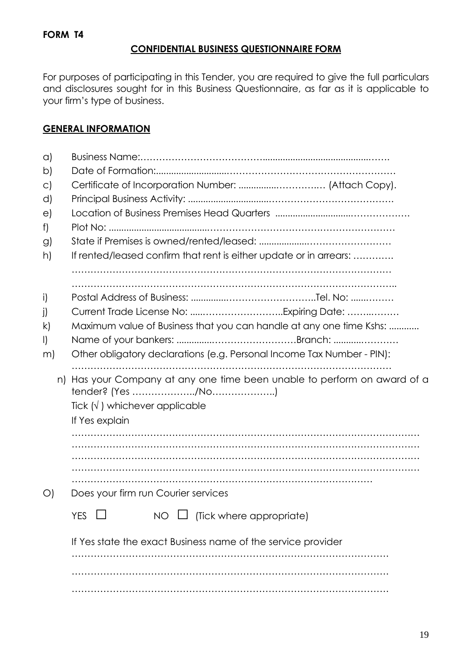# **CONFIDENTIAL BUSINESS QUESTIONNAIRE FORM**

For purposes of participating in this Tender, you are required to give the full particulars and disclosures sought for in this Business Questionnaire, as far as it is applicable to your firm's type of business.

# **GENERAL INFORMATION**

| $\alpha$      |                                                                        |  |  |  |  |
|---------------|------------------------------------------------------------------------|--|--|--|--|
| b)            |                                                                        |  |  |  |  |
| $\circ$       |                                                                        |  |  |  |  |
| d)            |                                                                        |  |  |  |  |
| $\Theta$      |                                                                        |  |  |  |  |
| f)            |                                                                        |  |  |  |  |
| $\mathcal{G}$ |                                                                        |  |  |  |  |
| h)            | If rented/leased confirm that rent is either update or in arrears:     |  |  |  |  |
|               |                                                                        |  |  |  |  |
| i)            |                                                                        |  |  |  |  |
| j)            |                                                                        |  |  |  |  |
| k)            | Maximum value of Business that you can handle at any one time Kshs:    |  |  |  |  |
| $\mathsf{I}$  |                                                                        |  |  |  |  |
| m)            | Other obligatory declarations (e.g. Personal Income Tax Number - PIN): |  |  |  |  |
| n)            | Has your Company at any one time been unable to perform on award of a  |  |  |  |  |
|               |                                                                        |  |  |  |  |
|               | Tick $(\sqrt{})$ whichever applicable                                  |  |  |  |  |
|               | If Yes explain                                                         |  |  |  |  |
|               |                                                                        |  |  |  |  |
|               |                                                                        |  |  |  |  |
|               |                                                                        |  |  |  |  |
|               |                                                                        |  |  |  |  |
| $\bigcirc$    | Does your firm run Courier services                                    |  |  |  |  |
|               | (Tick where appropriate)<br><b>YES</b><br>NO.                          |  |  |  |  |
|               | If Yes state the exact Business name of the service provider           |  |  |  |  |
|               |                                                                        |  |  |  |  |
|               |                                                                        |  |  |  |  |
|               |                                                                        |  |  |  |  |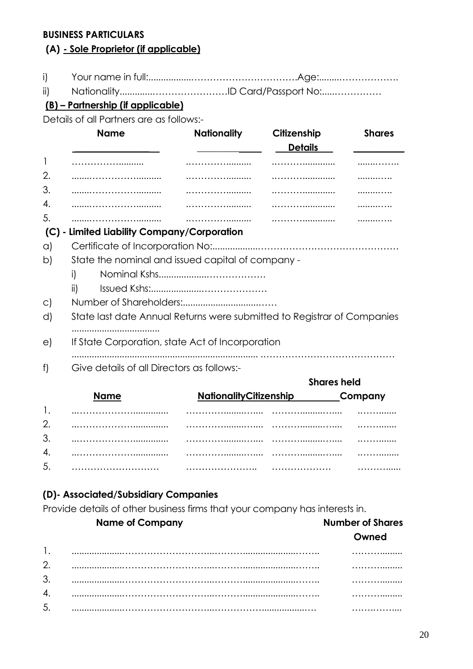## **BUSINESS PARTICULARS**

# **(A) - Sole Proprietor (if applicable)**

- i) Your name in full:.................…………………………….Age:........……………….
- ii) Nationality.............……………………ID Card/Passport No:.....……………

# **(B) – Partnership (if applicable)**

Details of all Partners are as follows:-

|         | <b>Name</b>                                                             | <b>Nationality</b>     | Citizenship    | <b>Shares</b>       |
|---------|-------------------------------------------------------------------------|------------------------|----------------|---------------------|
|         |                                                                         |                        | <b>Details</b> |                     |
| 1       |                                                                         |                        |                |                     |
| 2.      |                                                                         |                        |                |                     |
| 3.      |                                                                         |                        |                |                     |
| 4.      |                                                                         |                        |                |                     |
| 5.      |                                                                         |                        |                |                     |
| (C)     | - Limited Liability Company/Corporation                                 |                        |                |                     |
| a)      |                                                                         |                        |                |                     |
| b)      | State the nominal and issued capital of company -                       |                        |                |                     |
|         | i)                                                                      |                        |                |                     |
|         | ii)                                                                     |                        |                |                     |
| $\circ$ |                                                                         |                        |                |                     |
| d)      | State last date Annual Returns were submitted to Registrar of Companies |                        |                |                     |
|         |                                                                         |                        |                |                     |
| e)      | If State Corporation, state Act of Incorporation                        |                        |                |                     |
|         |                                                                         |                        |                |                     |
| f)      | Give details of all Directors as follows:-                              |                        |                |                     |
|         |                                                                         |                        |                | <b>Shares held</b>  |
|         | Name                                                                    | NationalityCitizenshin |                | Common <sub>W</sub> |

|    | <b>NationalityCitizenship</b> |   | _Company |
|----|-------------------------------|---|----------|
|    |                               |   |          |
| 2. |                               |   | .        |
| 3. |                               |   |          |
| 4. |                               |   | .        |
| 5. |                               | . | .        |

# **(D)- Associated/Subsidiary Companies**

Provide details of other business firms that your company has interests in.

|               | <b>Name of Company</b> | <b>Number of Shares</b> |
|---------------|------------------------|-------------------------|
|               |                        | Owned                   |
|               |                        |                         |
| $\mathcal{D}$ |                        |                         |
| 3             |                        |                         |
|               |                        |                         |
| 5             | .                      |                         |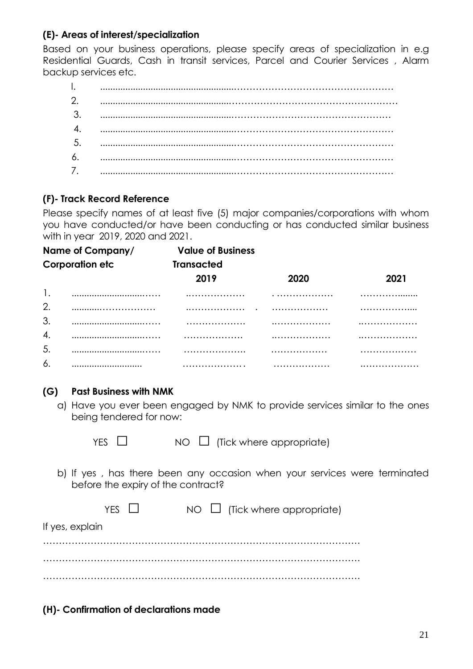# **(E)- Areas of interest/specialization**

Based on your business operations, please specify areas of specialization in e.g Residential Guards, Cash in transit services, Parcel and Courier Services , Alarm backup services etc.

# **(F)- Track Record Reference**

Please specify names of at least five (5) major companies/corporations with whom you have conducted/or have been conducting or has conducted similar business with in year 2019, 2020 and 2021.

| Name of Company/<br><b>Corporation etc</b> |  | <b>Value of Business</b> |      |      |
|--------------------------------------------|--|--------------------------|------|------|
|                                            |  | <b>Transacted</b>        |      |      |
|                                            |  | 2019                     | 2020 | 2021 |
|                                            |  |                          | .    |      |
| 2.                                         |  |                          | .    | .    |
| 3.                                         |  | .                        |      |      |
| 4.                                         |  | .                        |      |      |
| 5.                                         |  | .                        | .    | .    |
| 6.                                         |  | .                        | .    |      |

# **(G) Past Business with NMK**

- a) Have you ever been engaged by NMK to provide services similar to the ones being tendered for now:
	-

 $YES \quad \Box \quad \quad NO \quad \Box \quad (Tick where appropriate)$ 

b) If yes , has there been any occasion when your services were terminated before the expiry of the contract?

|                 | YFS II | $NO \square$ (Tick where appropriate) |
|-----------------|--------|---------------------------------------|
| If yes, explain |        |                                       |
|                 |        |                                       |
|                 |        |                                       |

**(H)- Confirmation of declarations made**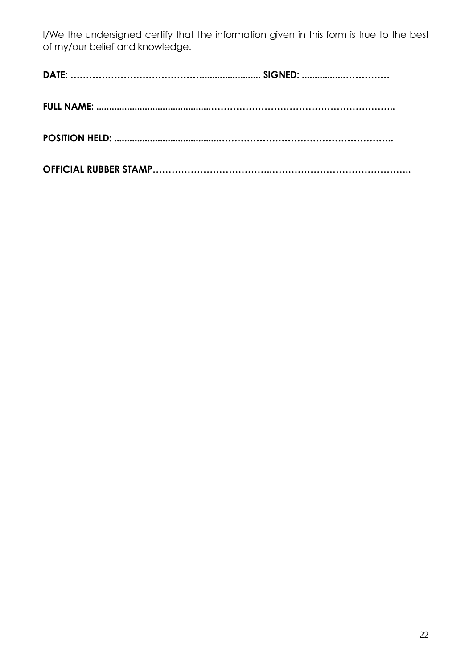I/We the undersigned certify that the information given in this form is true to the best of my/our belief and knowledge.

|--|--|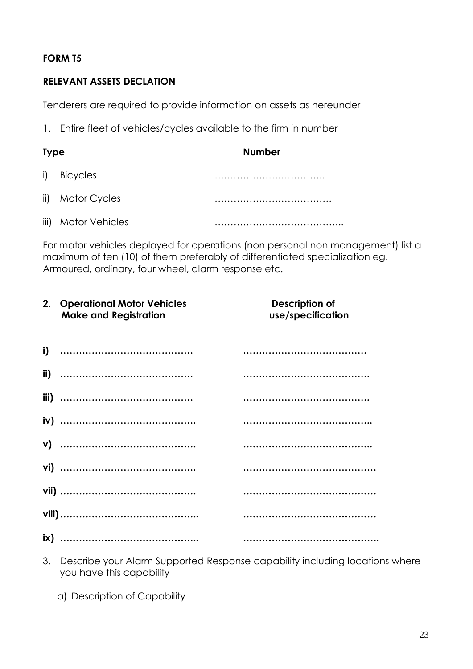# **FORM T5**

# **RELEVANT ASSETS DECLATION**

Tenderers are required to provide information on assets as hereunder

1. Entire fleet of vehicles/cycles available to the firm in number

| <b>Type</b> |                  | <b>Number</b> |
|-------------|------------------|---------------|
|             | i) Bicycles      |               |
|             | ii) Motor Cycles |               |
| iii)        | Motor Vehicles   |               |

For motor vehicles deployed for operations (non personal non management) list a maximum of ten (10) of them preferably of differentiated specialization eg. Armoured, ordinary, four wheel, alarm response etc.

| 2. | <b>Operational Motor Vehicles</b><br><b>Make and Registration</b> | Description of<br>use/specification |
|----|-------------------------------------------------------------------|-------------------------------------|
|    |                                                                   |                                     |
|    |                                                                   |                                     |
|    |                                                                   |                                     |
|    |                                                                   |                                     |
|    |                                                                   |                                     |
|    |                                                                   |                                     |
|    |                                                                   |                                     |
|    |                                                                   |                                     |
|    |                                                                   |                                     |

- 3. Describe your Alarm Supported Response capability including locations where you have this capability
	- a) Description of Capability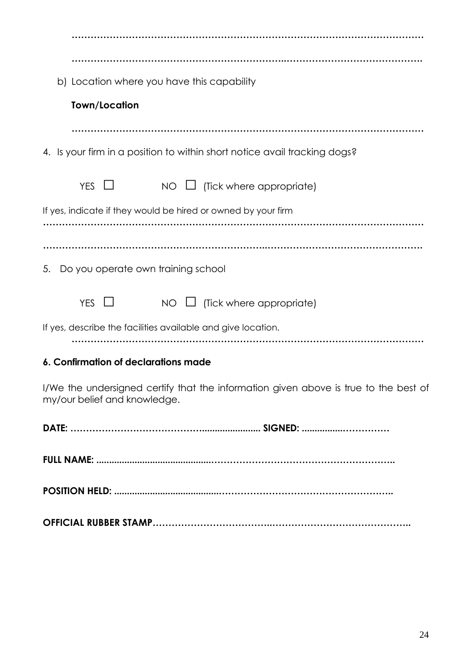| b) Location where you have this capability                                                                           |
|----------------------------------------------------------------------------------------------------------------------|
| <b>Town/Location</b>                                                                                                 |
|                                                                                                                      |
| 4. Is your firm in a position to within short notice avail tracking dogs?                                            |
| YES $\Box$<br>(Tick where appropriate)<br>NO                                                                         |
| If yes, indicate if they would be hired or owned by your firm                                                        |
|                                                                                                                      |
| 5. Do you operate own training school                                                                                |
| YES $\Box$<br>(Tick where appropriate)<br>NO.                                                                        |
| If yes, describe the facilities available and give location.                                                         |
| 6. Confirmation of declarations made                                                                                 |
| I/We the undersigned certify that the information given above is true to the best of<br>my/our belief and knowledge. |
|                                                                                                                      |
|                                                                                                                      |
|                                                                                                                      |
|                                                                                                                      |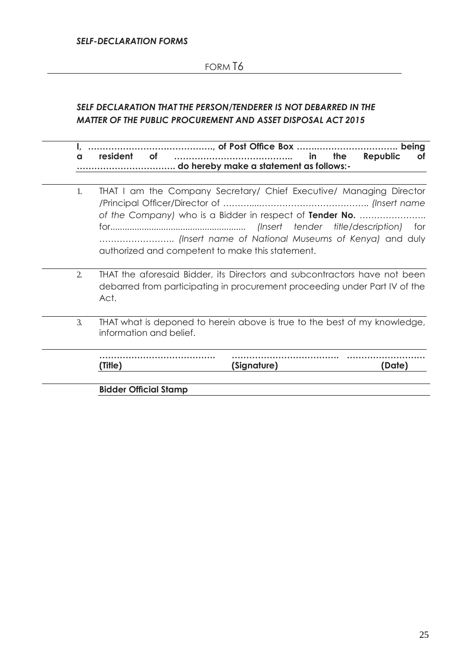# FORM T6

# *SELF DECLARATION THAT THE PERSON/TENDERER IS NOT DEBARRED IN THE MATTER OF THE PUBLIC PROCUREMENT AND ASSET DISPOSAL ACT 2015*

**I, ……………………………………., of Post Office Box …….………………………. being a resident of ………………………………….. in the Republic of ……………………………. do hereby make a statement as follows:-**

- 1. THAT I am the Company Secretary/ Chief Executive/ Managing Director /Principal Officer/Director of ………....……………………………….. *(Insert name of the Company)* who is a Bidder in respect of **Tender No.** ………………….. for........................................................ *(Insert tender title/description)* for …………………….. *(Insert name of National Museums of Kenya)* and duly authorized and competent to make this statement.
- 2. THAT the aforesaid Bidder, its Directors and subcontractors have not been debarred from participating in procurement proceeding under Part IV of the Act.
- 3. THAT what is deponed to herein above is true to the best of my knowledge, information and belief.

| Τi <del>l</del> lο.<br>IIIE | (Signature) |  |
|-----------------------------|-------------|--|

**Bidder Official Stamp**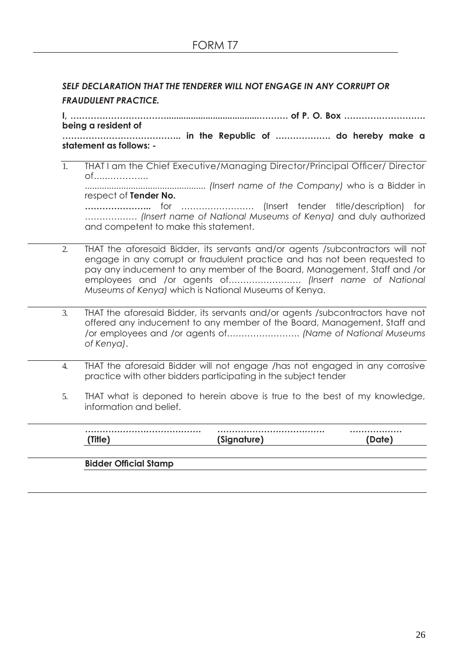# *SELF DECLARATION THAT THE TENDERER WILL NOT ENGAGE IN ANY CORRUPT OR FRAUDULENT PRACTICE.*

**I, ……………………………......................................………. of P. O. Box ………………………. being a resident of**

**………………………………….. in the Republic of ………………. do hereby make a statement as follows: -**

- 1. THAT I am the Chief Executive/Managing Director/Principal Officer/ Director of......……….... .................................................. *(Insert name of the Company)* who is a Bidder in respect of **Tender No. …………………..** for ……………………. (Insert tender title/description) for ……………… *(Insert name of National Museums of Kenya)* and duly authorized and competent to make this statement.
- 2. THAT the aforesaid Bidder, its servants and/or agents /subcontractors will not engage in any corrupt or fraudulent practice and has not been requested to pay any inducement to any member of the Board, Management, Staff and /or employees and /or agents of……………………. *(Insert name of National Museums of Kenya)* which is National Museums of Kenya.
- 3. THAT the aforesaid Bidder, its servants and/or agents /subcontractors have not offered any inducement to any member of the Board, Management, Staff and /or employees and /or agents of……………………. *(Name of National Museums of Kenya)*.
- 4. THAT the aforesaid Bidder will not engage /has not engaged in any corrosive practice with other bidders participating in the subject tender
- 5. THAT what is deponed to herein above is true to the best of my knowledge, information and belief.

|         | . |
|---------|---|
| 'Sianat |   |

#### **Bidder Official Stamp**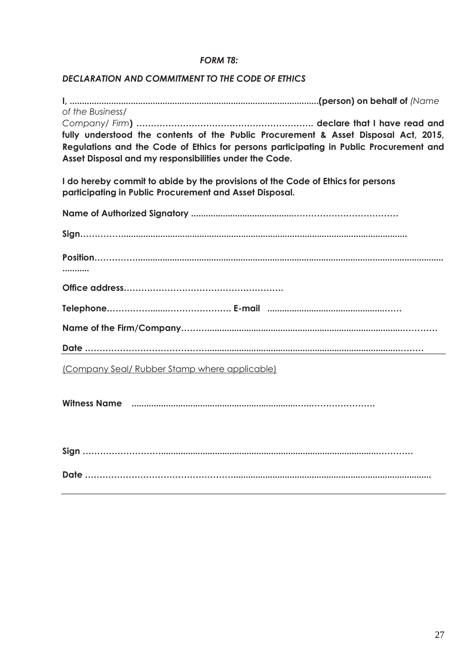#### *FORM T8:*

#### *DECLARATION AND COMMITMENT TO THE CODE OF ETHICS*

**I, ......................................................................................................(person) on behalf of** *(Name of the Business/ Company/ Firm***) ……………………………………………………. declare that I have read and fully understood the contents of the Public Procurement & Asset Disposal Act, 2015, Regulations and the Code of Ethics for persons participating in Public Procurement and Asset Disposal and my responsibilities under the Code.**

**I do hereby commit to abide by the provisions of the Code of Ethics for persons participating in Public Procurement and Asset Disposal.**

| (Company Seal/ Rubber Stamp where applicable) |
|-----------------------------------------------|
|                                               |
|                                               |
|                                               |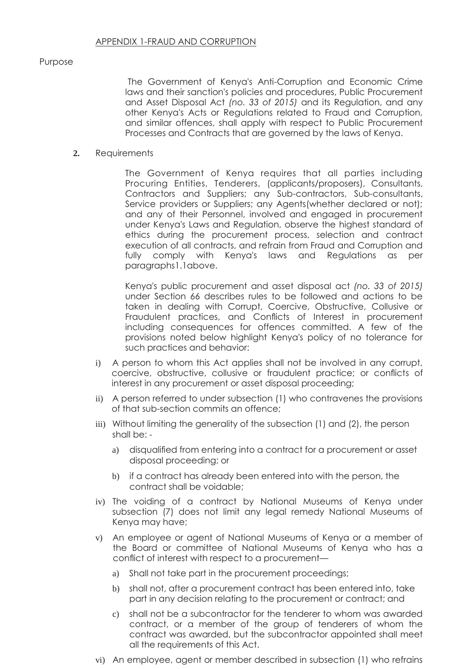#### Purpose

The Government of Kenya's Anti-Corruption and Economic Crime laws and their sanction's policies and procedures, Public Procurement and Asset Disposal Act *(no. 33 of 2015)* and its Regulation, and any other Kenya's Acts or Regulations related to Fraud and Corruption, and similar offences, shall apply with respect to Public Procurement Processes and Contracts that are governed by the laws of Kenya.

#### **2.** Requirements

The Government of Kenya requires that all parties including Procuring Entities, Tenderers, (applicants/proposers), Consultants, Contractors and Suppliers; any Sub-contractors, Sub-consultants, Service providers or Suppliers; any Agents(whether declared or not); and any of their Personnel, involved and engaged in procurement under Kenya's Laws and Regulation, observe the highest standard of ethics during the procurement process, selection and contract execution of all contracts, and refrain from Fraud and Corruption and fully comply with Kenya's laws and Regulations as per paragraphs1.1above.

Kenya's public procurement and asset disposal act *(no. 33 of 2015)*  under Section 66 describes rules to be followed and actions to be taken in dealing with Corrupt, Coercive, Obstructive, Collusive or Fraudulent practices, and Conflicts of Interest in procurement including consequences for offences committed. A few of the provisions noted below highlight Kenya's policy of no tolerance for such practices and behavior:

- i) A person to whom this Act applies shall not be involved in any corrupt, coercive, obstructive, collusive or fraudulent practice; or conflicts of interest in any procurement or asset disposal proceeding;
- ii) A person referred to under subsection (1) who contravenes the provisions of that sub-section commits an offence;
- iii) Without limiting the generality of the subsection (1) and (2), the person shall be:
	- a) disqualified from entering into a contract for a procurement or asset disposal proceeding; or
	- b) if a contract has already been entered into with the person, the contract shall be voidable;
- iv) The voiding of a contract by National Museums of Kenya under subsection (7) does not limit any legal remedy National Museums of Kenya may have;
- v) An employee or agent of National Museums of Kenya or a member of the Board or committee of National Museums of Kenya who has a conflict of interest with respect to a procurement
	- a) Shall not take part in the procurement proceedings;
	- b) shall not, after a procurement contract has been entered into, take part in any decision relating to the procurement or contract; and
	- c) shall not be a subcontractor for the tenderer to whom was awarded contract, or a member of the group of tenderers of whom the contract was awarded, but the subcontractor appointed shall meet all the requirements of this Act.
- vi) An employee, agent or member described in subsection (1) who refrains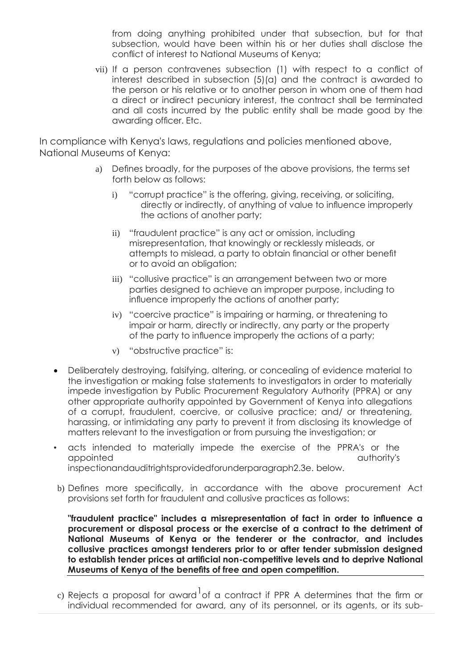from doing anything prohibited under that subsection, but for that subsection, would have been within his or her duties shall disclose the conflict of interest to National Museums of Kenya;

vii) If a person contravenes subsection (1) with respect to a conflict of interest described in subsection (5)(a) and the contract is awarded to the person or his relative or to another person in whom one of them had a direct or indirect pecuniary interest, the contract shall be terminated and all costs incurred by the public entity shall be made good by the awarding officer. Etc.

In compliance with Kenya's laws, regulations and policies mentioned above, National Museums of Kenya:

- a) Defines broadly, for the purposes of the above provisions, the terms set forth below as follows:
	- i) "corrupt practice" is the offering, giving, receiving, or soliciting, directly or indirectly, of anything of value to influence improperly the actions of another party;
	- ii) "fraudulent practice" is any act or omission, including misrepresentation, that knowingly or recklessly misleads, or attempts to mislead, a party to obtain financial or other benefit or to avoid an obligation;
	- iii) "collusive practice" is an arrangement between two or more parties designed to achieve an improper purpose, including to influence improperly the actions of another party;
	- iv) "coercive practice" is impairing or harming, or threatening to impair or harm, directly or indirectly, any party or the property of the party to influence improperly the actions of a party;
	- v) "obstructive practice" is:
- Deliberately destroying, falsifying, altering, or concealing of evidence material to the investigation or making false statements to investigators in order to materially impede investigation by Public Procurement Regulatory Authority (PPRA) or any other appropriate authority appointed by Government of Kenya into allegations of a corrupt, fraudulent, coercive, or collusive practice; and/ or threatening, harassing, or intimidating any party to prevent it from disclosing its knowledge of matters relevant to the investigation or from pursuing the investigation; or
- acts intended to materially impede the exercise of the PPRA's or the appointed authority's inspectionandauditrightsprovidedforunderparagraph2.3e. below.
- b) Defines more specifically, in accordance with the above procurement Act provisions set forth for fraudulent and collusive practices as follows:

**"fraudulent practice" includes a misrepresentation of fact in order to influence a procurement or disposal process or the exercise of a contract to the detriment of National Museums of Kenya or the tenderer or the contractor, and includes collusive practices amongst tenderers prior to or after tender submission designed to establish tender prices at artificial non-competitive levels and to deprive National Museums of Kenya of the benefits of free and open competition.**

c) Rejects a proposal for award $^{\dagger}$ of a contract if PPR A determines that the firm or individual recommended for award, any of its personnel, or its agents, or its sub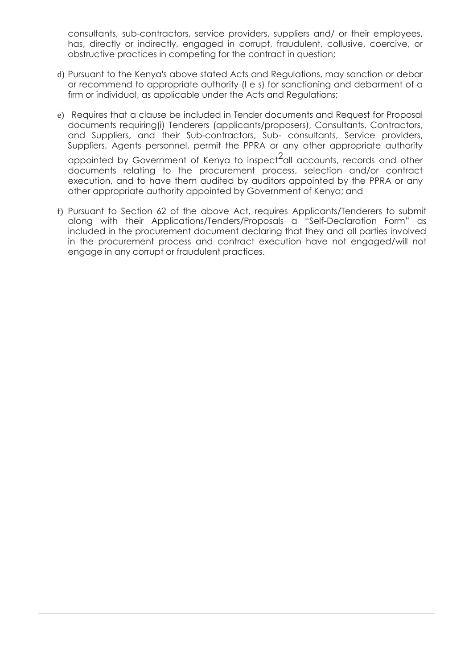consultants, sub-contractors, service providers, suppliers and/ or their employees, has, directly or indirectly, engaged in corrupt, fraudulent, collusive, coercive, or obstructive practices in competing for the contract in question;

- d) Pursuant to the Kenya's above stated Acts and Regulations, may sanction or debar or recommend to appropriate authority (I e s) for sanctioning and debarment of a firm or individual, as applicable under the Acts and Regulations;
- e) Requires that a clause be included in Tender documents and Request for Proposal documents requiring(i) Tenderers (applicants/proposers), Consultants, Contractors, and Suppliers, and their Sub-contractors, Sub- consultants, Service providers, Suppliers, Agents personnel, permit the PPRA or any other appropriate authority appointed by Government of Kenya to inspect<sup>2</sup>all accounts, records and other documents relating to the procurement process, selection and/or contract execution, and to have them audited by auditors appointed by the PPRA or any other appropriate authority appointed by Government of Kenya; and
- f) Pursuant to Section 62 of the above Act, requires Applicants/Tenderers to submit along with their Applications/Tenders/Proposals a "Self-Declaration Form" as included in the procurement document declaring that they and all parties involved in the procurement process and contract execution have not engaged/will not engage in any corrupt or fraudulent practices.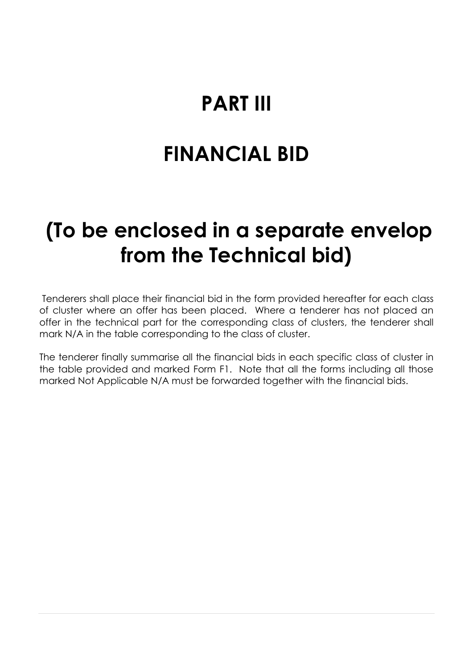# **PART III**

# **FINANCIAL BID**

# **(To be enclosed in a separate envelop from the Technical bid)**

Tenderers shall place their financial bid in the form provided hereafter for each class of cluster where an offer has been placed. Where a tenderer has not placed an offer in the technical part for the corresponding class of clusters, the tenderer shall mark N/A in the table corresponding to the class of cluster.

The tenderer finally summarise all the financial bids in each specific class of cluster in the table provided and marked Form F1. Note that all the forms including all those marked Not Applicable N/A must be forwarded together with the financial bids.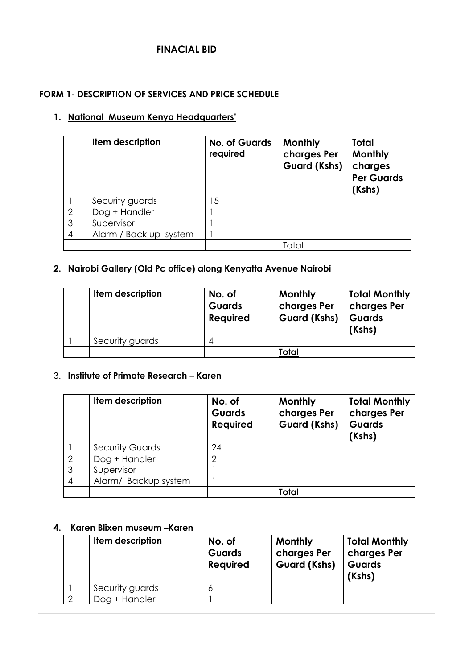# **FINACIAL BID**

#### **FORM 1- DESCRIPTION OF SERVICES AND PRICE SCHEDULE**

#### **1. National Museum Kenya Headquarters'**

|                | Item description       | <b>No. of Guards</b><br>required | <b>Monthly</b><br>charges Per<br><b>Guard (Kshs)</b> | <b>Total</b><br>Monthly<br>charges<br><b>Per Guards</b><br>(Kshs) |
|----------------|------------------------|----------------------------------|------------------------------------------------------|-------------------------------------------------------------------|
|                | Security guards        | 15                               |                                                      |                                                                   |
| $\overline{2}$ | Dog + Handler          |                                  |                                                      |                                                                   |
| 3              | Supervisor             |                                  |                                                      |                                                                   |
| 4              | Alarm / Back up system |                                  |                                                      |                                                                   |
|                |                        |                                  | Tota                                                 |                                                                   |

## **2. Nairobi Gallery (Old Pc office) along Kenyatta Avenue Nairobi**

| Item description | No. of<br><b>Guards</b><br><b>Required</b> | <b>Monthly</b><br>charges Per<br><b>Guard (Kshs)</b> | <b>Total Monthly</b><br>charges Per<br><b>Guards</b><br>(Kshs) |
|------------------|--------------------------------------------|------------------------------------------------------|----------------------------------------------------------------|
| Security guards  |                                            |                                                      |                                                                |
|                  |                                            | <b>Total</b>                                         |                                                                |

#### 3. **Institute of Primate Research – Karen**

|                | Item description       | No. of<br><b>Guards</b><br><b>Required</b> | Monthly<br>charges Per<br><b>Guard (Kshs)</b> | <b>Total Monthly</b><br>charges Per<br><b>Guards</b><br>(Kshs) |
|----------------|------------------------|--------------------------------------------|-----------------------------------------------|----------------------------------------------------------------|
|                | <b>Security Guards</b> | 24                                         |                                               |                                                                |
| $\overline{2}$ | Dog + Handler          |                                            |                                               |                                                                |
| 3              | Supervisor             |                                            |                                               |                                                                |
| 4              | Alarm/ Backup system   |                                            |                                               |                                                                |
|                |                        |                                            | <b>Total</b>                                  |                                                                |

# **4. Karen Blixen museum –Karen**

| Item description | No. of<br><b>Guards</b><br><b>Required</b> | Monthly<br>charges Per<br><b>Guard (Kshs)</b> | <b>Total Monthly</b><br>charges Per<br><b>Guards</b><br>(Kshs) |
|------------------|--------------------------------------------|-----------------------------------------------|----------------------------------------------------------------|
| Security guards  |                                            |                                               |                                                                |
| Dog + Handler    |                                            |                                               |                                                                |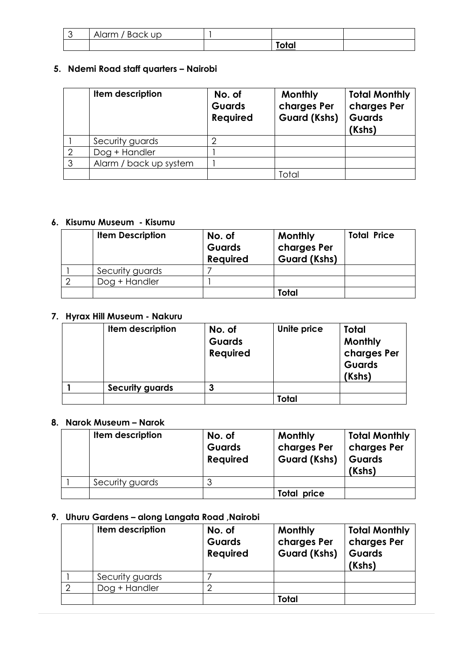| Alarm / Back up |                       |  |
|-----------------|-----------------------|--|
|                 | <b>Talen</b><br>וטוטו |  |

# **5. Ndemi Road staff quarters – Nairobi**

|   | Item description       | No. of<br><b>Guards</b><br><b>Required</b> | <b>Monthly</b><br>charges Per<br><b>Guard (Kshs)</b> | <b>Total Monthly</b><br>charges Per<br><b>Guards</b><br>(Kshs) |
|---|------------------------|--------------------------------------------|------------------------------------------------------|----------------------------------------------------------------|
|   | Security guards        |                                            |                                                      |                                                                |
| ⌒ | Dog + Handler          |                                            |                                                      |                                                                |
| ◠ | Alarm / back up system |                                            |                                                      |                                                                |
|   |                        |                                            | Total                                                |                                                                |

# **6. Kisumu Museum - Kisumu**

| <b>Item Description</b> | No. of<br><b>Guards</b><br><b>Required</b> | <b>Monthly</b><br>charges Per<br><b>Guard (Kshs)</b> | <b>Total Price</b> |
|-------------------------|--------------------------------------------|------------------------------------------------------|--------------------|
| Security guards         |                                            |                                                      |                    |
| Dog + Handler           |                                            |                                                      |                    |
|                         |                                            | Total                                                |                    |

## **7. Hyrax Hill Museum - Nakuru**

| Item description       | No. of<br><b>Guards</b><br><b>Required</b> | Unite price | Total<br>Monthly<br>charges Per<br>Guards<br>(Kshs) |
|------------------------|--------------------------------------------|-------------|-----------------------------------------------------|
| <b>Security guards</b> | 3                                          |             |                                                     |
|                        |                                            | Total       |                                                     |

#### **8. Narok Museum – Narok**

| Item description | No. of<br><b>Guards</b><br><b>Required</b> | <b>Monthly</b><br>charges Per<br><b>Guard (Kshs)</b> | <b>Total Monthly</b><br>charges Per<br><b>Guards</b><br>(Kshs) |
|------------------|--------------------------------------------|------------------------------------------------------|----------------------------------------------------------------|
| Security guards  |                                            |                                                      |                                                                |
|                  |                                            | <b>Total price</b>                                   |                                                                |

# **9. Uhuru Gardens – along Langata Road ,Nairobi**

| Item description | No. of<br><b>Guards</b><br><b>Required</b> | Monthly<br>charges Per<br><b>Guard (Kshs)</b> | <b>Total Monthly</b><br>charges Per<br>Guards<br>(Kshs) |
|------------------|--------------------------------------------|-----------------------------------------------|---------------------------------------------------------|
| Security guards  |                                            |                                               |                                                         |
| Dog + Handler    |                                            |                                               |                                                         |
|                  |                                            | Total                                         |                                                         |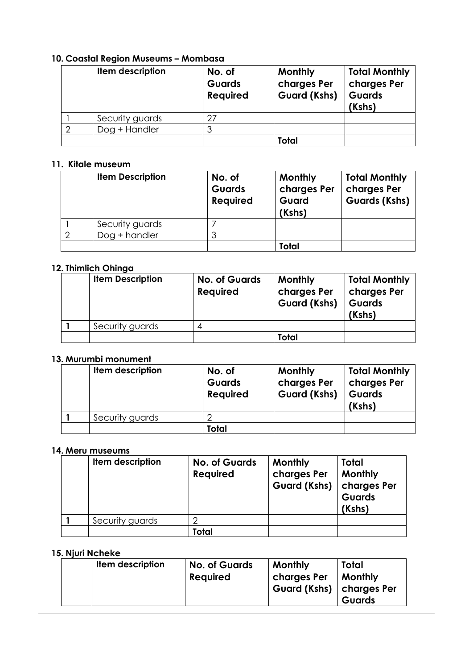# **10. Coastal Region Museums – Mombasa**

| Item description | No. of<br><b>Guards</b><br><b>Required</b> | Monthly<br>charges Per<br><b>Guard (Kshs)</b> | <b>Total Monthly</b><br>charges Per<br>Guards<br>(Kshs) |
|------------------|--------------------------------------------|-----------------------------------------------|---------------------------------------------------------|
| Security guards  | 27                                         |                                               |                                                         |
| Dog + Handler    |                                            |                                               |                                                         |
|                  |                                            | Total                                         |                                                         |

#### **11. Kitale museum**

| <b>Item Description</b> | No. of<br><b>Guards</b><br>Required | <b>Monthly</b><br>charges Per<br>Guard<br>(Kshs) | <b>Total Monthly</b><br>charges Per<br><b>Guards (Kshs)</b> |
|-------------------------|-------------------------------------|--------------------------------------------------|-------------------------------------------------------------|
| Security guards         |                                     |                                                  |                                                             |
| Dog + handler           | 3                                   |                                                  |                                                             |
|                         |                                     | <b>Total</b>                                     |                                                             |

## **12. Thimlich Ohinga**

| <b>Item Description</b> | <b>No. of Guards</b><br><b>Required</b> | <b>Monthly</b><br>charges Per<br><b>Guard (Kshs)</b> | <b>Total Monthly</b><br>charges Per<br><b>Guards</b><br>(Kshs) |
|-------------------------|-----------------------------------------|------------------------------------------------------|----------------------------------------------------------------|
| Security guards         |                                         |                                                      |                                                                |
|                         |                                         | <b>Total</b>                                         |                                                                |

#### **13. Murumbi monument**

| Item description | No. of<br><b>Guards</b><br><b>Required</b> | <b>Monthly</b><br>charges Per<br><b>Guard (Kshs)</b> | <b>Total Monthly</b><br>charges Per<br><b>Guards</b><br>(Kshs) |
|------------------|--------------------------------------------|------------------------------------------------------|----------------------------------------------------------------|
| Security guards  |                                            |                                                      |                                                                |
|                  | <b>Total</b>                               |                                                      |                                                                |

#### **14. Meru museums**

| <b>Item description</b> | <b>No. of Guards</b><br><b>Required</b> | <b>Monthly</b><br>charges Per<br><b>Guard (Kshs)</b> | Total<br><b>Monthly</b><br>charges Per<br><b>Guards</b><br>(Kshs) |
|-------------------------|-----------------------------------------|------------------------------------------------------|-------------------------------------------------------------------|
| Security guards         |                                         |                                                      |                                                                   |
|                         | Total                                   |                                                      |                                                                   |

## **15. Njuri Ncheke**

| Item description | <b>No. of Guards</b><br><b>Required</b> | <b>Monthly</b><br>charges Per<br>Guard (Kshs)   charges Per | Total<br><b>Monthly</b><br><b>Guards</b> |
|------------------|-----------------------------------------|-------------------------------------------------------------|------------------------------------------|
|------------------|-----------------------------------------|-------------------------------------------------------------|------------------------------------------|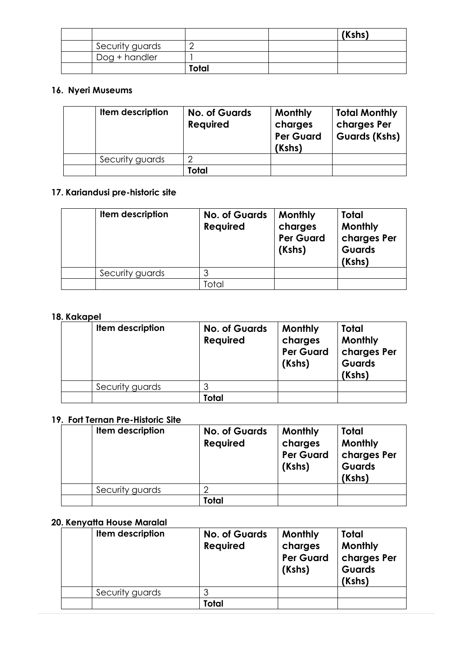|                 |       | (Kshs) |
|-----------------|-------|--------|
| Security guards |       |        |
| Dog + handler   |       |        |
|                 | Total |        |

### **16. Nyeri Museums**

| Item description | <b>No. of Guards</b><br><b>Required</b> | Monthly<br>charges<br><b>Per Guard</b><br>(Kshs) | <b>Total Monthly</b><br>charges Per<br><b>Guards (Kshs)</b> |
|------------------|-----------------------------------------|--------------------------------------------------|-------------------------------------------------------------|
| Security guards  |                                         |                                                  |                                                             |
|                  | Total                                   |                                                  |                                                             |

# **17. Kariandusi pre-historic site**

| Item description | <b>No. of Guards</b><br><b>Required</b> | <b>Monthly</b><br>charges<br><b>Per Guard</b><br>(Kshs) | Total<br>Monthly<br>charges Per<br><b>Guards</b><br>(Kshs) |
|------------------|-----------------------------------------|---------------------------------------------------------|------------------------------------------------------------|
| Security guards  | J                                       |                                                         |                                                            |
|                  | <sup>-</sup> otal                       |                                                         |                                                            |

#### **18. Kakapel**

| Item description | <b>No. of Guards</b><br><b>Required</b> | <b>Monthly</b><br>charges<br><b>Per Guard</b><br>(Kshs) | Total<br>Monthly<br>charges Per<br><b>Guards</b><br>(Kshs) |
|------------------|-----------------------------------------|---------------------------------------------------------|------------------------------------------------------------|
| Security guards  |                                         |                                                         |                                                            |
|                  | Total                                   |                                                         |                                                            |

# **19. Fort Ternan Pre-Historic Site**

| Item description | <b>No. of Guards</b><br><b>Required</b> | <b>Monthly</b><br>charges<br><b>Per Guard</b><br>(Kshs) | Total<br>Monthly<br>charges Per<br><b>Guards</b><br>(Kshs) |
|------------------|-----------------------------------------|---------------------------------------------------------|------------------------------------------------------------|
| Security guards  |                                         |                                                         |                                                            |
|                  | Total                                   |                                                         |                                                            |

# **20. Kenyatta House Maralal**

| Item description | <b>No. of Guards</b><br><b>Required</b> | <b>Monthly</b><br>charges<br><b>Per Guard</b><br>(Kshs) | <b>Total</b><br>Monthly<br>charges Per<br><b>Guards</b><br>(Kshs) |
|------------------|-----------------------------------------|---------------------------------------------------------|-------------------------------------------------------------------|
| Security guards  |                                         |                                                         |                                                                   |
|                  | Total                                   |                                                         |                                                                   |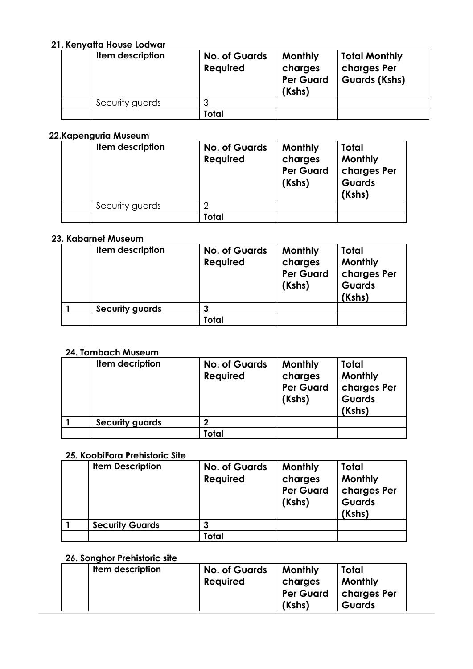# **21. Kenyatta House Lodwar**

| Item description | <b>No. of Guards</b><br><b>Required</b> | <b>Monthly</b><br>charges<br><b>Per Guard</b><br>(Kshs) | <b>Total Monthly</b><br>charges Per<br><b>Guards (Kshs)</b> |
|------------------|-----------------------------------------|---------------------------------------------------------|-------------------------------------------------------------|
| Security guards  |                                         |                                                         |                                                             |
|                  | Total                                   |                                                         |                                                             |

## **22.Kapenguria Museum**

| Item description | <b>No. of Guards</b><br><b>Required</b> | Monthly<br>charges<br><b>Per Guard</b><br>(Kshs) | Total<br>Monthly<br>charges Per<br><b>Guards</b><br>(Kshs) |
|------------------|-----------------------------------------|--------------------------------------------------|------------------------------------------------------------|
| Security guards  |                                         |                                                  |                                                            |
|                  | Total                                   |                                                  |                                                            |

#### **23. Kabarnet Museum**

| Item description       | <b>No. of Guards</b><br><b>Required</b> | <b>Monthly</b><br>charges<br><b>Per Guard</b><br>(Kshs) | Total<br>Monthly<br>charges Per<br><b>Guards</b><br>(Kshs) |
|------------------------|-----------------------------------------|---------------------------------------------------------|------------------------------------------------------------|
| <b>Security guards</b> | 3                                       |                                                         |                                                            |
|                        | Total                                   |                                                         |                                                            |

#### **24. Tambach Museum**

| Item decription        | <b>No. of Guards</b><br><b>Required</b> | Monthly<br>charges<br><b>Per Guard</b><br>(Kshs) | Total<br>Monthly<br>charges Per<br><b>Guards</b><br>(Kshs) |
|------------------------|-----------------------------------------|--------------------------------------------------|------------------------------------------------------------|
| <b>Security guards</b> |                                         |                                                  |                                                            |
|                        | Total                                   |                                                  |                                                            |

## **25. KoobiFora Prehistoric Site**

| <b>Item Description</b> | <b>No. of Guards</b><br><b>Required</b> | Monthly<br>charges<br><b>Per Guard</b><br>(Kshs) | Total<br>Monthly<br>charges Per<br><b>Guards</b><br>(Kshs) |
|-------------------------|-----------------------------------------|--------------------------------------------------|------------------------------------------------------------|
| <b>Security Guards</b>  |                                         |                                                  |                                                            |
|                         | Total                                   |                                                  |                                                            |

# **26. Songhor Prehistoric site**

| Item description | <b>No. of Guards</b><br><b>Required</b> | Monthly<br>charges | Total<br><b>Monthly</b> |
|------------------|-----------------------------------------|--------------------|-------------------------|
|                  |                                         | <b>Per Guard</b>   | scharges Per            |
|                  |                                         | (Kshs)             | <b>Guards</b>           |